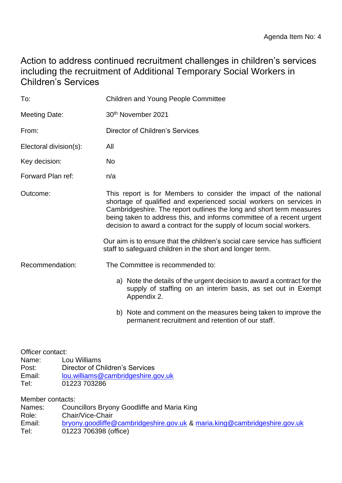# Action to address continued recruitment challenges in children's services including the recruitment of Additional Temporary Social Workers in Children's Services

| To:                                                  |                              | <b>Children and Young People Committee</b>                                                                                                                                                                                                                                                                                                                        |
|------------------------------------------------------|------------------------------|-------------------------------------------------------------------------------------------------------------------------------------------------------------------------------------------------------------------------------------------------------------------------------------------------------------------------------------------------------------------|
| <b>Meeting Date:</b>                                 |                              | 30th November 2021                                                                                                                                                                                                                                                                                                                                                |
| From:                                                |                              | <b>Director of Children's Services</b>                                                                                                                                                                                                                                                                                                                            |
| Electoral division(s):                               |                              | All                                                                                                                                                                                                                                                                                                                                                               |
| Key decision:                                        |                              | No                                                                                                                                                                                                                                                                                                                                                                |
| Forward Plan ref:                                    |                              | n/a                                                                                                                                                                                                                                                                                                                                                               |
| Outcome:                                             |                              | This report is for Members to consider the impact of the national<br>shortage of qualified and experienced social workers on services in<br>Cambridgeshire. The report outlines the long and short term measures<br>being taken to address this, and informs committee of a recent urgent<br>decision to award a contract for the supply of locum social workers. |
|                                                      |                              | Our aim is to ensure that the children's social care service has sufficient<br>staff to safeguard children in the short and longer term.                                                                                                                                                                                                                          |
| Recommendation:                                      |                              | The Committee is recommended to:                                                                                                                                                                                                                                                                                                                                  |
|                                                      |                              | a) Note the details of the urgent decision to award a contract for the<br>supply of staffing on an interim basis, as set out in Exempt<br>Appendix 2.                                                                                                                                                                                                             |
|                                                      |                              | b) Note and comment on the measures being taken to improve the<br>permanent recruitment and retention of our staff.                                                                                                                                                                                                                                               |
| Officer contact:<br>Name:<br>Post:<br>Email:<br>Tel: | Lou Williams<br>01223 703286 | <b>Director of Children's Services</b><br>lou.williams@cambridgeshire.gov.uk                                                                                                                                                                                                                                                                                      |
| Member contacts:<br>Names:<br>Role:                  | Chair/Vice-Chair             | Councillors Bryony Goodliffe and Maria King                                                                                                                                                                                                                                                                                                                       |

Email: [bryony.goodliffe@cambridgeshire.gov.uk](mailto:bryony.goodliffe@cambridgeshire.gov.uk) & [maria.king@cambridgeshire.gov.uk](mailto:maria.king@cambridgeshire.gov.uk)

Tel: 01223 706398 (office)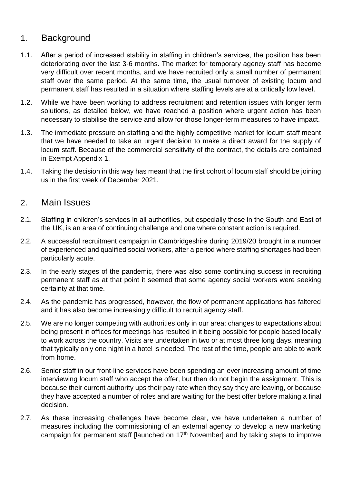# 1. Background

- 1.1. After a period of increased stability in staffing in children's services, the position has been deteriorating over the last 3-6 months. The market for temporary agency staff has become very difficult over recent months, and we have recruited only a small number of permanent staff over the same period. At the same time, the usual turnover of existing locum and permanent staff has resulted in a situation where staffing levels are at a critically low level.
- 1.2. While we have been working to address recruitment and retention issues with longer term solutions, as detailed below, we have reached a position where urgent action has been necessary to stabilise the service and allow for those longer-term measures to have impact.
- 1.3. The immediate pressure on staffing and the highly competitive market for locum staff meant that we have needed to take an urgent decision to make a direct award for the supply of locum staff. Because of the commercial sensitivity of the contract, the details are contained in Exempt Appendix 1.
- 1.4. Taking the decision in this way has meant that the first cohort of locum staff should be joining us in the first week of December 2021.

#### 2. Main Issues

- 2.1. Staffing in children's services in all authorities, but especially those in the South and East of the UK, is an area of continuing challenge and one where constant action is required.
- 2.2. A successful recruitment campaign in Cambridgeshire during 2019/20 brought in a number of experienced and qualified social workers, after a period where staffing shortages had been particularly acute.
- 2.3. In the early stages of the pandemic, there was also some continuing success in recruiting permanent staff as at that point it seemed that some agency social workers were seeking certainty at that time.
- 2.4. As the pandemic has progressed, however, the flow of permanent applications has faltered and it has also become increasingly difficult to recruit agency staff.
- 2.5. We are no longer competing with authorities only in our area; changes to expectations about being present in offices for meetings has resulted in it being possible for people based locally to work across the country. Visits are undertaken in two or at most three long days, meaning that typically only one night in a hotel is needed. The rest of the time, people are able to work from home.
- 2.6. Senior staff in our front-line services have been spending an ever increasing amount of time interviewing locum staff who accept the offer, but then do not begin the assignment. This is because their current authority ups their pay rate when they say they are leaving, or because they have accepted a number of roles and are waiting for the best offer before making a final decision.
- 2.7. As these increasing challenges have become clear, we have undertaken a number of measures including the commissioning of an external agency to develop a new marketing campaign for permanent staff [launched on 17<sup>th</sup> November] and by taking steps to improve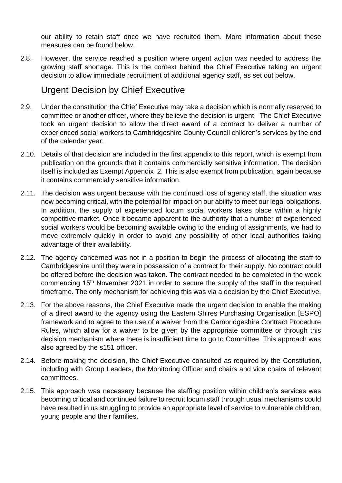our ability to retain staff once we have recruited them. More information about these measures can be found below.

2.8. However, the service reached a position where urgent action was needed to address the growing staff shortage. This is the context behind the Chief Executive taking an urgent decision to allow immediate recruitment of additional agency staff, as set out below.

# Urgent Decision by Chief Executive

- 2.9. Under the constitution the Chief Executive may take a decision which is normally reserved to committee or another officer, where they believe the decision is urgent. The Chief Executive took an urgent decision to allow the direct award of a contract to deliver a number of experienced social workers to Cambridgeshire County Council children's services by the end of the calendar year.
- 2.10. Details of that decision are included in the first appendix to this report, which is exempt from publication on the grounds that it contains commercially sensitive information. The decision itself is included as Exempt Appendix 2. This is also exempt from publication, again because it contains commercially sensitive information.
- 2.11. The decision was urgent because with the continued loss of agency staff, the situation was now becoming critical, with the potential for impact on our ability to meet our legal obligations. In addition, the supply of experienced locum social workers takes place within a highly competitive market. Once it became apparent to the authority that a number of experienced social workers would be becoming available owing to the ending of assignments, we had to move extremely quickly in order to avoid any possibility of other local authorities taking advantage of their availability.
- 2.12. The agency concerned was not in a position to begin the process of allocating the staff to Cambridgeshire until they were in possession of a contract for their supply. No contract could be offered before the decision was taken. The contract needed to be completed in the week commencing 15<sup>th</sup> November 2021 in order to secure the supply of the staff in the required timeframe. The only mechanism for achieving this was via a decision by the Chief Executive.
- 2.13. For the above reasons, the Chief Executive made the urgent decision to enable the making of a direct award to the agency using the Eastern Shires Purchasing Organisation [ESPO] framework and to agree to the use of a waiver from the Cambridgeshire Contract Procedure Rules, which allow for a waiver to be given by the appropriate committee or through this decision mechanism where there is insufficient time to go to Committee. This approach was also agreed by the s151 officer.
- 2.14. Before making the decision, the Chief Executive consulted as required by the Constitution, including with Group Leaders, the Monitoring Officer and chairs and vice chairs of relevant committees.
- 2.15. This approach was necessary because the staffing position within children's services was becoming critical and continued failure to recruit locum staff through usual mechanisms could have resulted in us struggling to provide an appropriate level of service to vulnerable children, young people and their families.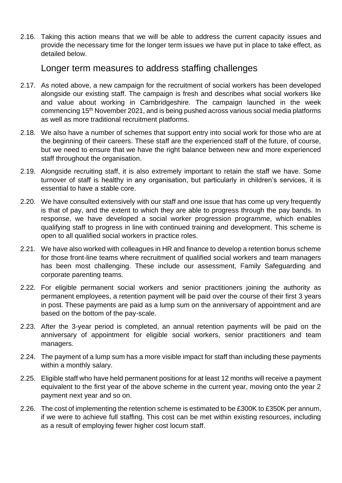2.16. Taking this action means that we will be able to address the current capacity issues and provide the necessary time for the longer term issues we have put in place to take effect, as detailed below.

### Longer term measures to address staffing challenges

- 2.17. As noted above, a new campaign for the recruitment of social workers has been developed alongside our existing staff. The campaign is fresh and describes what social workers like and value about working in Cambridgeshire. The campaign launched in the week commencing 15th November 2021, and is being pushed across various social media platforms as well as more traditional recruitment platforms.
- 2.18. We also have a number of schemes that support entry into social work for those who are at the beginning of their careers. These staff are the experienced staff of the future, of course, but we need to ensure that we have the right balance between new and more experienced staff throughout the organisation.
- 2.19. Alongside recruiting staff, it is also extremely important to retain the staff we have. Some turnover of staff is healthy in any organisation, but particularly in children's services, it is essential to have a stable core.
- 2.20. We have consulted extensively with our staff and one issue that has come up very frequently is that of pay, and the extent to which they are able to progress through the pay bands. In response, we have developed a social worker progression programme, which enables qualifying staff to progress in line with continued training and development. This scheme is open to all qualified social workers in practice roles.
- 2.21. We have also worked with colleagues in HR and finance to develop a retention bonus scheme for those front-line teams where recruitment of qualified social workers and team managers has been most challenging. These include our assessment, Family Safeguarding and corporate parenting teams.
- 2.22. For eligible permanent social workers and senior practitioners joining the authority as permanent employees, a retention payment will be paid over the course of their first 3 years in post. These payments are paid as a lump sum on the anniversary of appointment and are based on the bottom of the pay-scale.
- 2.23. After the 3-year period is completed, an annual retention payments will be paid on the anniversary of appointment for eligible social workers, senior practitioners and team managers.
- 2.24. The payment of a lump sum has a more visible impact for staff than including these payments within a monthly salary.
- 2.25. Eligible staff who have held permanent positions for at least 12 months will receive a payment equivalent to the first year of the above scheme in the current year, moving onto the year 2 payment next year and so on.
- 2.26. The cost of implementing the retention scheme is estimated to be £300K to £350K per annum, if we were to achieve full staffing. This cost can be met within existing resources, including as a result of employing fewer higher cost locum staff.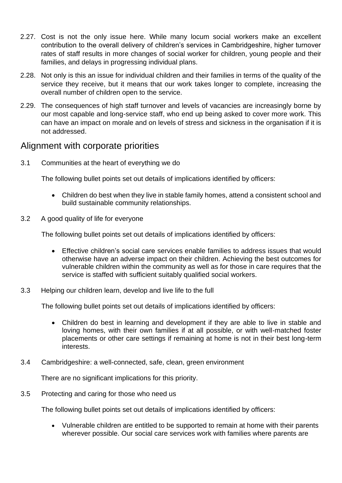- 2.27. Cost is not the only issue here. While many locum social workers make an excellent contribution to the overall delivery of children's services in Cambridgeshire, higher turnover rates of staff results in more changes of social worker for children, young people and their families, and delays in progressing individual plans.
- 2.28. Not only is this an issue for individual children and their families in terms of the quality of the service they receive, but it means that our work takes longer to complete, increasing the overall number of children open to the service.
- 2.29. The consequences of high staff turnover and levels of vacancies are increasingly borne by our most capable and long-service staff, who end up being asked to cover more work. This can have an impact on morale and on levels of stress and sickness in the organisation if it is not addressed.

## Alignment with corporate priorities

3.1 Communities at the heart of everything we do

The following bullet points set out details of implications identified by officers:

- Children do best when they live in stable family homes, attend a consistent school and build sustainable community relationships.
- 3.2 A good quality of life for everyone

The following bullet points set out details of implications identified by officers:

- Effective children's social care services enable families to address issues that would otherwise have an adverse impact on their children. Achieving the best outcomes for vulnerable children within the community as well as for those in care requires that the service is staffed with sufficient suitably qualified social workers.
- 3.3 Helping our children learn, develop and live life to the full

The following bullet points set out details of implications identified by officers:

- Children do best in learning and development if they are able to live in stable and loving homes, with their own families if at all possible, or with well-matched foster placements or other care settings if remaining at home is not in their best long-term interests.
- 3.4 Cambridgeshire: a well-connected, safe, clean, green environment

There are no significant implications for this priority.

3.5 Protecting and caring for those who need us

The following bullet points set out details of implications identified by officers:

• Vulnerable children are entitled to be supported to remain at home with their parents wherever possible. Our social care services work with families where parents are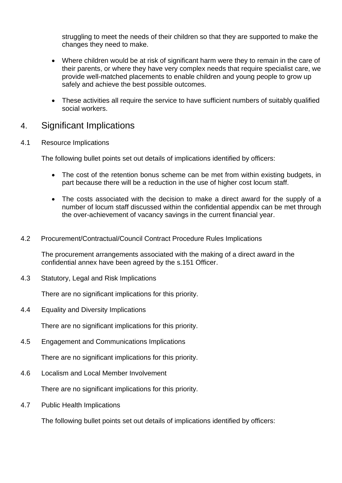struggling to meet the needs of their children so that they are supported to make the changes they need to make.

- Where children would be at risk of significant harm were they to remain in the care of their parents, or where they have very complex needs that require specialist care, we provide well-matched placements to enable children and young people to grow up safely and achieve the best possible outcomes.
- These activities all require the service to have sufficient numbers of suitably qualified social workers.

## 4. Significant Implications

4.1 Resource Implications

The following bullet points set out details of implications identified by officers:

- The cost of the retention bonus scheme can be met from within existing budgets, in part because there will be a reduction in the use of higher cost locum staff.
- The costs associated with the decision to make a direct award for the supply of a number of locum staff discussed within the confidential appendix can be met through the over-achievement of vacancy savings in the current financial year.
- 4.2 Procurement/Contractual/Council Contract Procedure Rules Implications

The procurement arrangements associated with the making of a direct award in the confidential annex have been agreed by the s.151 Officer.

4.3 Statutory, Legal and Risk Implications

There are no significant implications for this priority.

4.4 Equality and Diversity Implications

There are no significant implications for this priority.

4.5 Engagement and Communications Implications

There are no significant implications for this priority.

4.6 Localism and Local Member Involvement

There are no significant implications for this priority.

4.7 Public Health Implications

The following bullet points set out details of implications identified by officers: